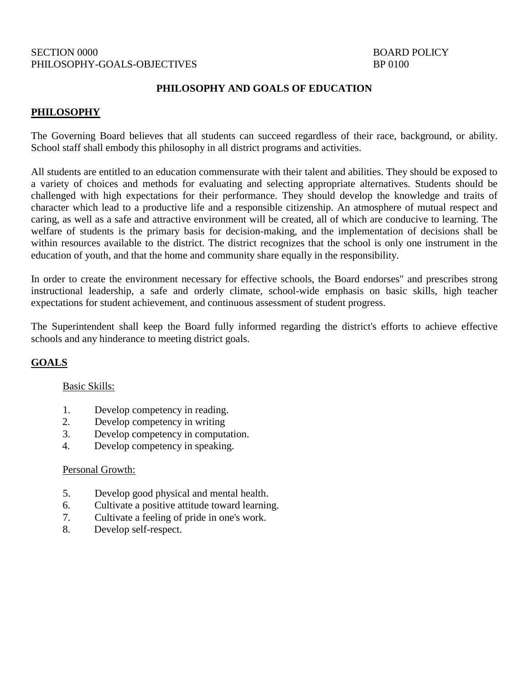## SECTION 0000 BOARD POLICY PHILOSOPHY-GOALS-OBJECTIVES BP 0100

## **PHILOSOPHY AND GOALS OF EDUCATION**

## **PHILOSOPHY**

The Governing Board believes that all students can succeed regardless of their race, background, or ability. School staff shall embody this philosophy in all district programs and activities.

All students are entitled to an education commensurate with their talent and abilities. They should be exposed to a variety of choices and methods for evaluating and selecting appropriate alternatives. Students should be challenged with high expectations for their performance. They should develop the knowledge and traits of character which lead to a productive life and a responsible citizenship. An atmosphere of mutual respect and caring, as well as a safe and attractive environment will be created, all of which are conducive to learning. The welfare of students is the primary basis for decision-making, and the implementation of decisions shall be within resources available to the district. The district recognizes that the school is only one instrument in the education of youth, and that the home and community share equally in the responsibility.

In order to create the environment necessary for effective schools, the Board endorses" and prescribes strong instructional leadership, a safe and orderly climate, school-wide emphasis on basic skills, high teacher expectations for student achievement, and continuous assessment of student progress.

The Superintendent shall keep the Board fully informed regarding the district's efforts to achieve effective schools and any hinderance to meeting district goals.

## **GOALS**

## Basic Skills:

- 1. Develop competency in reading.
- 2. Develop competency in writing
- 3. Develop competency in computation.
- 4. Develop competency in speaking.

#### Personal Growth:

- 5. Develop good physical and mental health.
- 6. Cultivate a positive attitude toward learning.
- 7. Cultivate a feeling of pride in one's work.
- 8. Develop self-respect.